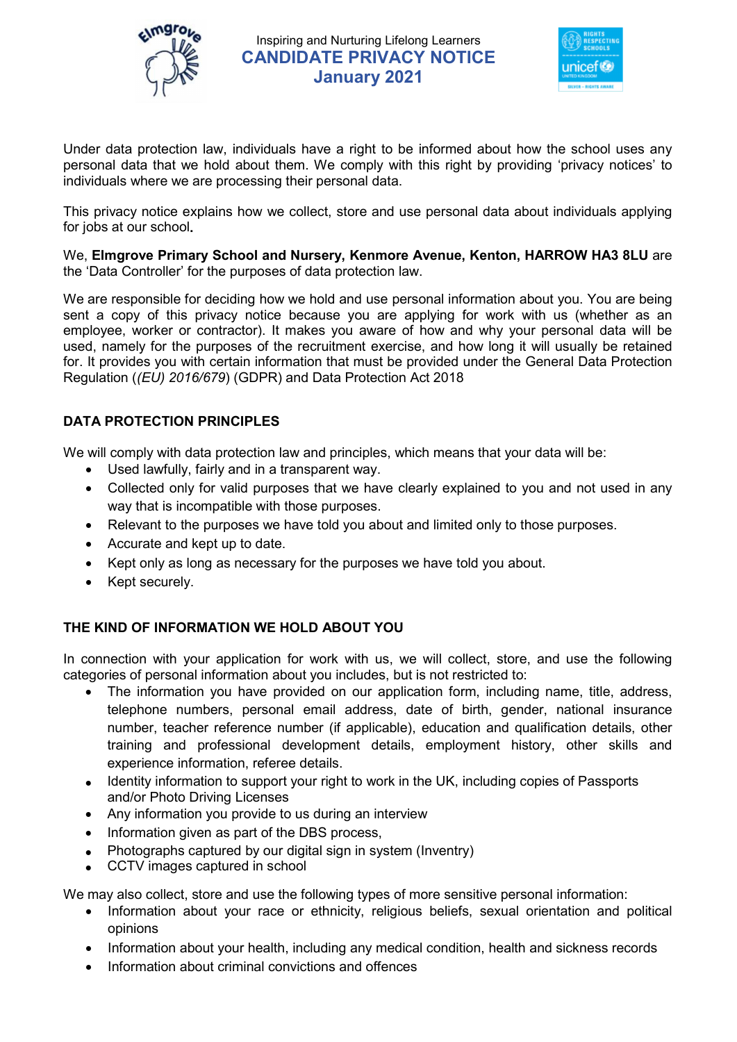



Under data protection law, individuals have a right to be informed about how the school uses any personal data that we hold about them. We comply with this right by providing 'privacy notices' to individuals where we are processing their personal data.

This privacy notice explains how we collect, store and use personal data about individuals applying for jobs at our school.

We, Elmgrove Primary School and Nursery, Kenmore Avenue, Kenton, HARROW HA3 8LU are the 'Data Controller' for the purposes of data protection law.

We are responsible for deciding how we hold and use personal information about you. You are being sent a copy of this privacy notice because you are applying for work with us (whether as an employee, worker or contractor). It makes you aware of how and why your personal data will be used, namely for the purposes of the recruitment exercise, and how long it will usually be retained for. It provides you with certain information that must be provided under the General Data Protection Regulation ((EU) 2016/679) (GDPR) and Data Protection Act 2018

## DATA PROTECTION PRINCIPLES

We will comply with data protection law and principles, which means that your data will be:

- Used lawfully, fairly and in a transparent way.
- Collected only for valid purposes that we have clearly explained to you and not used in any way that is incompatible with those purposes.
- Relevant to the purposes we have told you about and limited only to those purposes.
- Accurate and kept up to date.
- Kept only as long as necessary for the purposes we have told you about.
- Kept securely.

### THE KIND OF INFORMATION WE HOLD ABOUT YOU

In connection with your application for work with us, we will collect, store, and use the following categories of personal information about you includes, but is not restricted to:

- The information you have provided on our application form, including name, title, address, telephone numbers, personal email address, date of birth, gender, national insurance number, teacher reference number (if applicable), education and qualification details, other training and professional development details, employment history, other skills and experience information, referee details.
- Identity information to support your right to work in the UK, including copies of Passports and/or Photo Driving Licenses
- Any information you provide to us during an interview
- Information given as part of the DBS process,
- Photographs captured by our digital sign in system (Inventry)
- CCTV images captured in school

We may also collect, store and use the following types of more sensitive personal information:

- Information about your race or ethnicity, religious beliefs, sexual orientation and political opinions
- Information about your health, including any medical condition, health and sickness records
- Information about criminal convictions and offences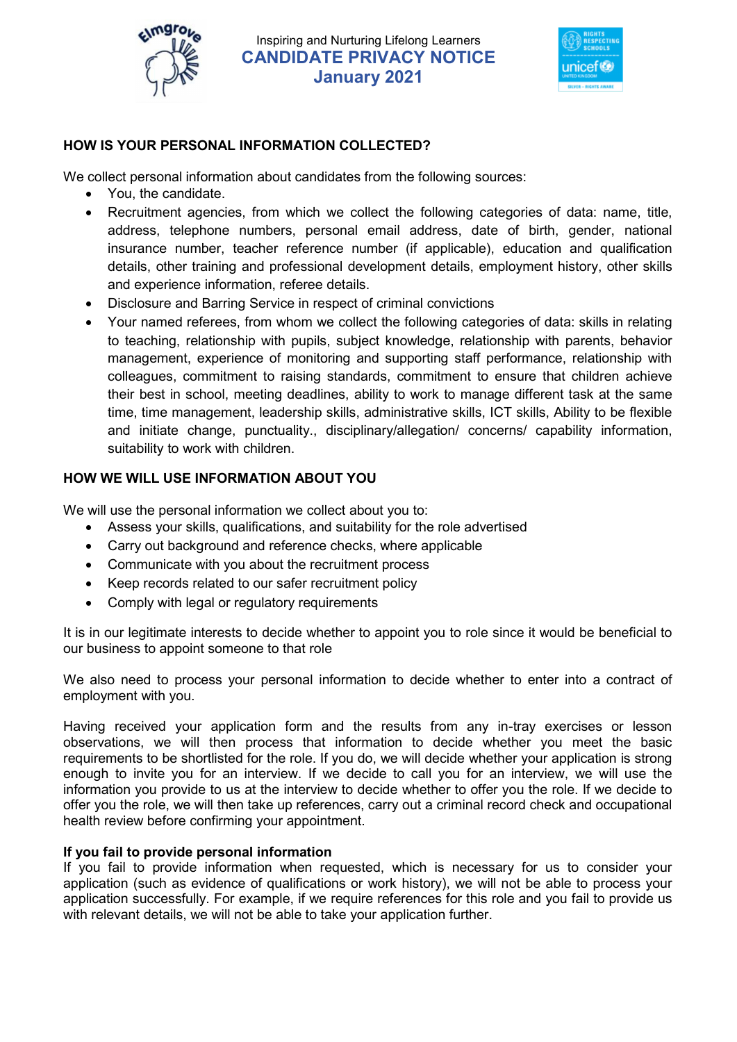



## HOW IS YOUR PERSONAL INFORMATION COLLECTED?

We collect personal information about candidates from the following sources:

- You, the candidate.
- Recruitment agencies, from which we collect the following categories of data: name, title, address, telephone numbers, personal email address, date of birth, gender, national insurance number, teacher reference number (if applicable), education and qualification details, other training and professional development details, employment history, other skills and experience information, referee details.
- Disclosure and Barring Service in respect of criminal convictions
- Your named referees, from whom we collect the following categories of data: skills in relating to teaching, relationship with pupils, subject knowledge, relationship with parents, behavior management, experience of monitoring and supporting staff performance, relationship with colleagues, commitment to raising standards, commitment to ensure that children achieve their best in school, meeting deadlines, ability to work to manage different task at the same time, time management, leadership skills, administrative skills, ICT skills, Ability to be flexible and initiate change, punctuality., disciplinary/allegation/ concerns/ capability information, suitability to work with children.

## HOW WE WILL USE INFORMATION ABOUT YOU

We will use the personal information we collect about you to:

- Assess your skills, qualifications, and suitability for the role advertised
- Carry out background and reference checks, where applicable
- Communicate with you about the recruitment process
- Keep records related to our safer recruitment policy
- Comply with legal or regulatory requirements

It is in our legitimate interests to decide whether to appoint you to role since it would be beneficial to our business to appoint someone to that role

We also need to process your personal information to decide whether to enter into a contract of employment with you.

Having received your application form and the results from any in-tray exercises or lesson observations, we will then process that information to decide whether you meet the basic requirements to be shortlisted for the role. If you do, we will decide whether your application is strong enough to invite you for an interview. If we decide to call you for an interview, we will use the information you provide to us at the interview to decide whether to offer you the role. If we decide to offer you the role, we will then take up references, carry out a criminal record check and occupational health review before confirming your appointment.

### If you fail to provide personal information

If you fail to provide information when requested, which is necessary for us to consider your application (such as evidence of qualifications or work history), we will not be able to process your application successfully. For example, if we require references for this role and you fail to provide us with relevant details, we will not be able to take your application further.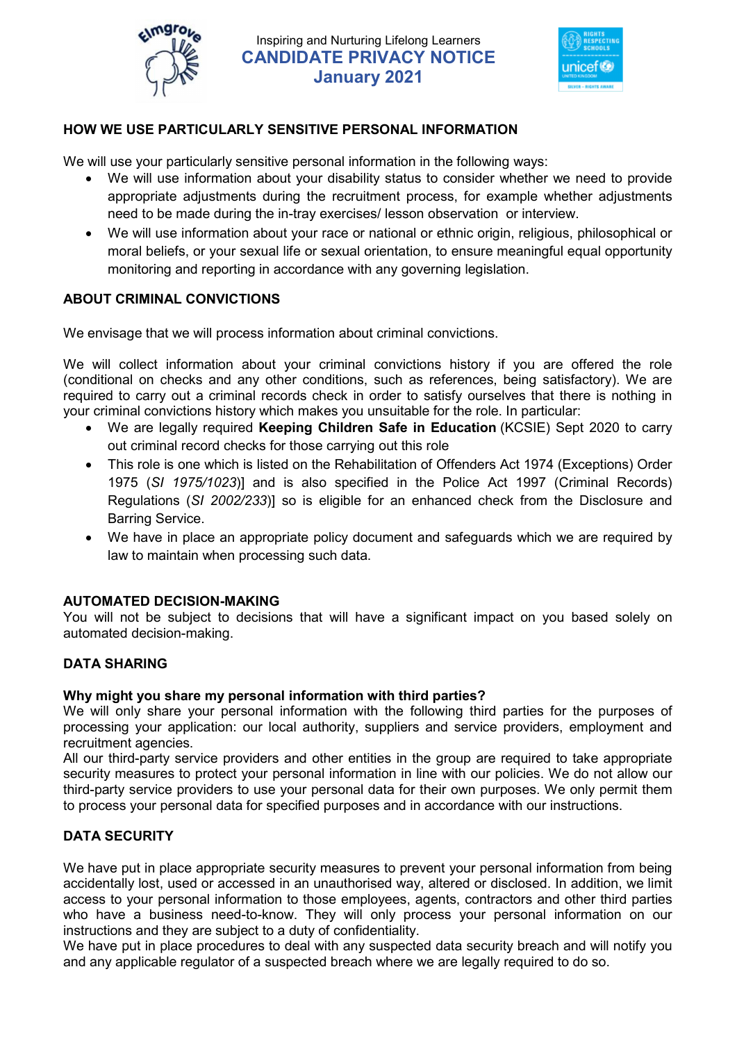



### HOW WE USE PARTICULARLY SENSITIVE PERSONAL INFORMATION

We will use your particularly sensitive personal information in the following ways:

- We will use information about your disability status to consider whether we need to provide appropriate adjustments during the recruitment process, for example whether adjustments need to be made during the in-tray exercises/ lesson observation or interview.
- We will use information about your race or national or ethnic origin, religious, philosophical or moral beliefs, or your sexual life or sexual orientation, to ensure meaningful equal opportunity monitoring and reporting in accordance with any governing legislation.

#### ABOUT CRIMINAL CONVICTIONS

We envisage that we will process information about criminal convictions.

We will collect information about your criminal convictions history if you are offered the role (conditional on checks and any other conditions, such as references, being satisfactory). We are required to carry out a criminal records check in order to satisfy ourselves that there is nothing in your criminal convictions history which makes you unsuitable for the role. In particular:

- We are legally required Keeping Children Safe in Education (KCSIE) Sept 2020 to carry out criminal record checks for those carrying out this role
- This role is one which is listed on the Rehabilitation of Offenders Act 1974 (Exceptions) Order 1975 (SI 1975/1023)] and is also specified in the Police Act 1997 (Criminal Records) Regulations (SI 2002/233)] so is eligible for an enhanced check from the Disclosure and Barring Service.
- We have in place an appropriate policy document and safeguards which we are required by law to maintain when processing such data.

#### AUTOMATED DECISION-MAKING

You will not be subject to decisions that will have a significant impact on you based solely on automated decision-making.

### DATA SHARING

#### Why might you share my personal information with third parties?

We will only share your personal information with the following third parties for the purposes of processing your application: our local authority, suppliers and service providers, employment and recruitment agencies.

All our third-party service providers and other entities in the group are required to take appropriate security measures to protect your personal information in line with our policies. We do not allow our third-party service providers to use your personal data for their own purposes. We only permit them to process your personal data for specified purposes and in accordance with our instructions.

### DATA SECURITY

We have put in place appropriate security measures to prevent your personal information from being accidentally lost, used or accessed in an unauthorised way, altered or disclosed. In addition, we limit access to your personal information to those employees, agents, contractors and other third parties who have a business need-to-know. They will only process your personal information on our instructions and they are subject to a duty of confidentiality.

We have put in place procedures to deal with any suspected data security breach and will notify you and any applicable regulator of a suspected breach where we are legally required to do so.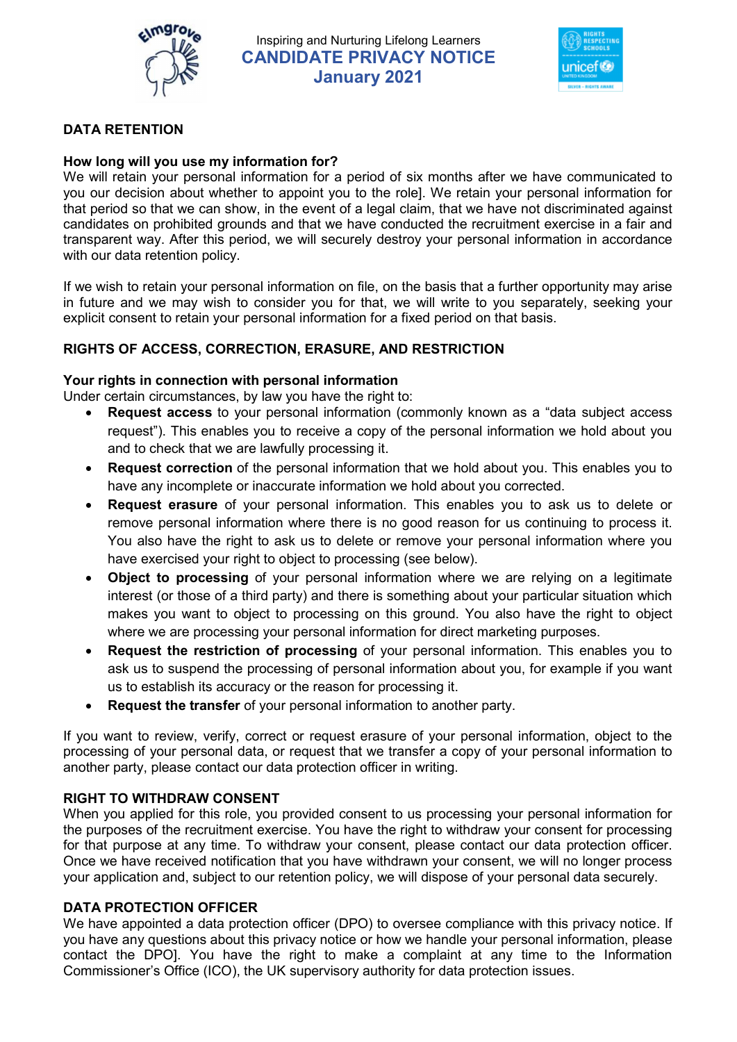



### DATA RETENTION

#### How long will you use my information for?

We will retain your personal information for a period of six months after we have communicated to you our decision about whether to appoint you to the role]. We retain your personal information for that period so that we can show, in the event of a legal claim, that we have not discriminated against candidates on prohibited grounds and that we have conducted the recruitment exercise in a fair and transparent way. After this period, we will securely destroy your personal information in accordance with our data retention policy.

If we wish to retain your personal information on file, on the basis that a further opportunity may arise in future and we may wish to consider you for that, we will write to you separately, seeking your explicit consent to retain your personal information for a fixed period on that basis.

#### RIGHTS OF ACCESS, CORRECTION, ERASURE, AND RESTRICTION

#### Your rights in connection with personal information

Under certain circumstances, by law you have the right to:

- Request access to your personal information (commonly known as a "data subject access request"). This enables you to receive a copy of the personal information we hold about you and to check that we are lawfully processing it.
- Request correction of the personal information that we hold about you. This enables you to have any incomplete or inaccurate information we hold about you corrected.
- Request erasure of your personal information. This enables you to ask us to delete or remove personal information where there is no good reason for us continuing to process it. You also have the right to ask us to delete or remove your personal information where you have exercised your right to object to processing (see below).
- Object to processing of your personal information where we are relying on a legitimate interest (or those of a third party) and there is something about your particular situation which makes you want to object to processing on this ground. You also have the right to object where we are processing your personal information for direct marketing purposes.
- Request the restriction of processing of your personal information. This enables you to ask us to suspend the processing of personal information about you, for example if you want us to establish its accuracy or the reason for processing it.
- Request the transfer of your personal information to another party.

If you want to review, verify, correct or request erasure of your personal information, object to the processing of your personal data, or request that we transfer a copy of your personal information to another party, please contact our data protection officer in writing.

#### RIGHT TO WITHDRAW CONSENT

When you applied for this role, you provided consent to us processing your personal information for the purposes of the recruitment exercise. You have the right to withdraw your consent for processing for that purpose at any time. To withdraw your consent, please contact our data protection officer. Once we have received notification that you have withdrawn your consent, we will no longer process your application and, subject to our retention policy, we will dispose of your personal data securely.

#### DATA PROTECTION OFFICER

We have appointed a data protection officer (DPO) to oversee compliance with this privacy notice. If you have any questions about this privacy notice or how we handle your personal information, please contact the DPO]. You have the right to make a complaint at any time to the Information Commissioner's Office (ICO), the UK supervisory authority for data protection issues.